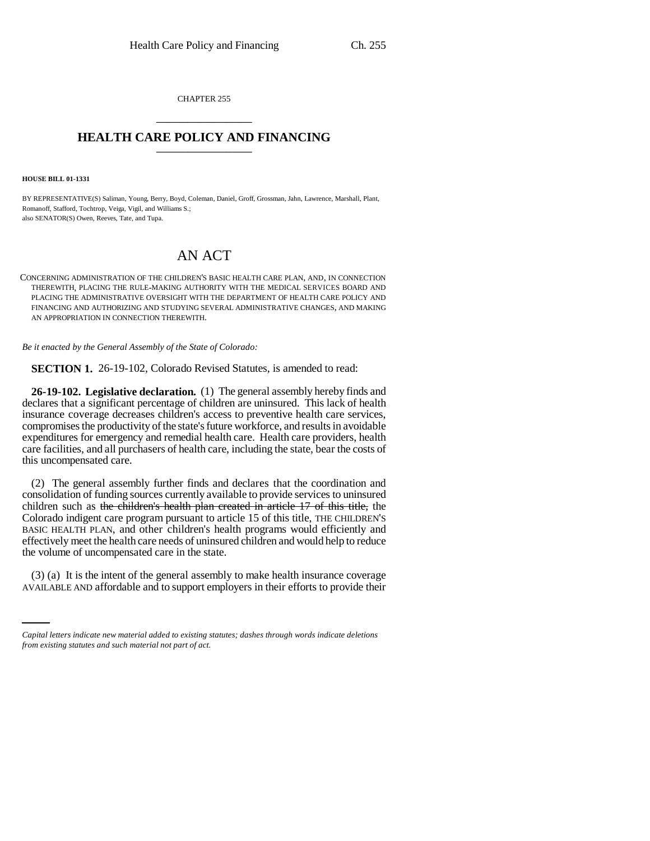CHAPTER 255 \_\_\_\_\_\_\_\_\_\_\_\_\_\_\_

## **HEALTH CARE POLICY AND FINANCING** \_\_\_\_\_\_\_\_\_\_\_\_\_\_\_

**HOUSE BILL 01-1331**

BY REPRESENTATIVE(S) Saliman, Young, Berry, Boyd, Coleman, Daniel, Groff, Grossman, Jahn, Lawrence, Marshall, Plant, Romanoff, Stafford, Tochtrop, Veiga, Vigil, and Williams S.; also SENATOR(S) Owen, Reeves, Tate, and Tupa.

## AN ACT

CONCERNING ADMINISTRATION OF THE CHILDREN'S BASIC HEALTH CARE PLAN, AND, IN CONNECTION THEREWITH, PLACING THE RULE-MAKING AUTHORITY WITH THE MEDICAL SERVICES BOARD AND PLACING THE ADMINISTRATIVE OVERSIGHT WITH THE DEPARTMENT OF HEALTH CARE POLICY AND FINANCING AND AUTHORIZING AND STUDYING SEVERAL ADMINISTRATIVE CHANGES, AND MAKING AN APPROPRIATION IN CONNECTION THEREWITH.

*Be it enacted by the General Assembly of the State of Colorado:*

**SECTION 1.** 26-19-102, Colorado Revised Statutes, is amended to read:

**26-19-102. Legislative declaration.** (1) The general assembly hereby finds and declares that a significant percentage of children are uninsured. This lack of health insurance coverage decreases children's access to preventive health care services, compromises the productivity of the state's future workforce, and results in avoidable expenditures for emergency and remedial health care. Health care providers, health care facilities, and all purchasers of health care, including the state, bear the costs of this uncompensated care.

(2) The general assembly further finds and declares that the coordination and consolidation of funding sources currently available to provide services to uninsured children such as the children's health plan created in article 17 of this title, the Colorado indigent care program pursuant to article 15 of this title, THE CHILDREN'S BASIC HEALTH PLAN, and other children's health programs would efficiently and effectively meet the health care needs of uninsured children and would help to reduce the volume of uncompensated care in the state.

(3) (a) It is the intent of the general assembly to make health insurance coverage AVAILABLE AND affordable and to support employers in their efforts to provide their

*Capital letters indicate new material added to existing statutes; dashes through words indicate deletions from existing statutes and such material not part of act.*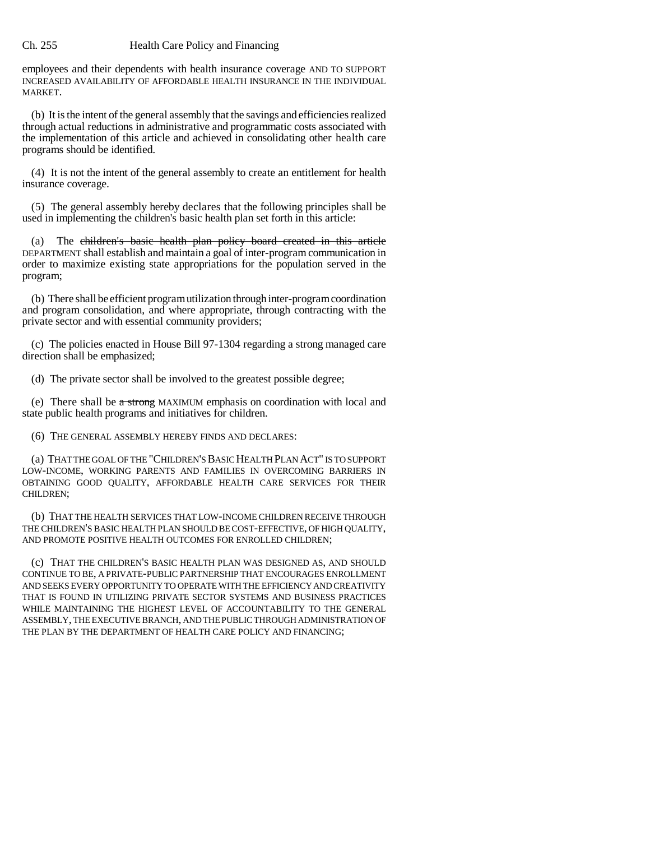## Ch. 255 Health Care Policy and Financing

employees and their dependents with health insurance coverage AND TO SUPPORT INCREASED AVAILABILITY OF AFFORDABLE HEALTH INSURANCE IN THE INDIVIDUAL MARKET.

(b) It is the intent of the general assembly that the savings and efficiencies realized through actual reductions in administrative and programmatic costs associated with the implementation of this article and achieved in consolidating other health care programs should be identified.

(4) It is not the intent of the general assembly to create an entitlement for health insurance coverage.

(5) The general assembly hereby declares that the following principles shall be used in implementing the children's basic health plan set forth in this article:

(a) The children's basic health plan policy board created in this article DEPARTMENT shall establish and maintain a goal of inter-program communication in order to maximize existing state appropriations for the population served in the program;

(b) There shall be efficient program utilization through inter-program coordination and program consolidation, and where appropriate, through contracting with the private sector and with essential community providers;

(c) The policies enacted in House Bill 97-1304 regarding a strong managed care direction shall be emphasized;

(d) The private sector shall be involved to the greatest possible degree;

(e) There shall be a strong MAXIMUM emphasis on coordination with local and state public health programs and initiatives for children.

(6) THE GENERAL ASSEMBLY HEREBY FINDS AND DECLARES:

(a) THAT THE GOAL OF THE "CHILDREN'S BASIC HEALTH PLAN ACT" IS TO SUPPORT LOW-INCOME, WORKING PARENTS AND FAMILIES IN OVERCOMING BARRIERS IN OBTAINING GOOD QUALITY, AFFORDABLE HEALTH CARE SERVICES FOR THEIR CHILDREN;

(b) THAT THE HEALTH SERVICES THAT LOW-INCOME CHILDREN RECEIVE THROUGH THE CHILDREN'S BASIC HEALTH PLAN SHOULD BE COST-EFFECTIVE, OF HIGH QUALITY, AND PROMOTE POSITIVE HEALTH OUTCOMES FOR ENROLLED CHILDREN;

(c) THAT THE CHILDREN'S BASIC HEALTH PLAN WAS DESIGNED AS, AND SHOULD CONTINUE TO BE, A PRIVATE-PUBLIC PARTNERSHIP THAT ENCOURAGES ENROLLMENT AND SEEKS EVERY OPPORTUNITY TO OPERATE WITH THE EFFICIENCY AND CREATIVITY THAT IS FOUND IN UTILIZING PRIVATE SECTOR SYSTEMS AND BUSINESS PRACTICES WHILE MAINTAINING THE HIGHEST LEVEL OF ACCOUNTABILITY TO THE GENERAL ASSEMBLY, THE EXECUTIVE BRANCH, AND THE PUBLIC THROUGH ADMINISTRATION OF THE PLAN BY THE DEPARTMENT OF HEALTH CARE POLICY AND FINANCING;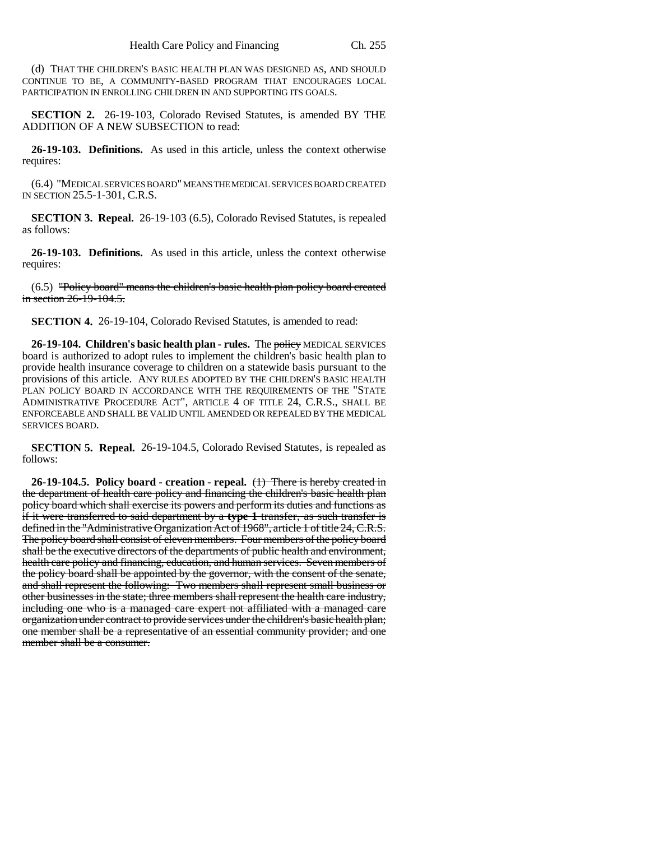(d) THAT THE CHILDREN'S BASIC HEALTH PLAN WAS DESIGNED AS, AND SHOULD CONTINUE TO BE, A COMMUNITY-BASED PROGRAM THAT ENCOURAGES LOCAL PARTICIPATION IN ENROLLING CHILDREN IN AND SUPPORTING ITS GOALS.

**SECTION 2.** 26-19-103, Colorado Revised Statutes, is amended BY THE ADDITION OF A NEW SUBSECTION to read:

**26-19-103. Definitions.** As used in this article, unless the context otherwise requires:

(6.4) "MEDICAL SERVICES BOARD" MEANS THE MEDICAL SERVICES BOARD CREATED IN SECTION 25.5-1-301, C.R.S.

**SECTION 3. Repeal.** 26-19-103 (6.5), Colorado Revised Statutes, is repealed as follows:

**26-19-103. Definitions.** As used in this article, unless the context otherwise requires:

(6.5) "Policy board" means the children's basic health plan policy board created in section 26-19-104.5.

**SECTION 4.** 26-19-104, Colorado Revised Statutes, is amended to read:

**26-19-104. Children's basic health plan - rules.** The policy MEDICAL SERVICES board is authorized to adopt rules to implement the children's basic health plan to provide health insurance coverage to children on a statewide basis pursuant to the provisions of this article. ANY RULES ADOPTED BY THE CHILDREN'S BASIC HEALTH PLAN POLICY BOARD IN ACCORDANCE WITH THE REQUIREMENTS OF THE "STATE ADMINISTRATIVE PROCEDURE ACT", ARTICLE 4 OF TITLE 24, C.R.S., SHALL BE ENFORCEABLE AND SHALL BE VALID UNTIL AMENDED OR REPEALED BY THE MEDICAL SERVICES BOARD.

**SECTION 5. Repeal.** 26-19-104.5, Colorado Revised Statutes, is repealed as follows:

**26-19-104.5. Policy board - creation - repeal.** (1) There is hereby created in the department of health care policy and financing the children's basic health plan policy board which shall exercise its powers and perform its duties and functions as if it were transferred to said department by a **type 1** transfer, as such transfer is defined in the "Administrative Organization Act of 1968", article 1 of title 24, C.R.S. The policy board shall consist of eleven members. Four members of the policy board shall be the executive directors of the departments of public health and environment, health care policy and financing, education, and human services. Seven members of the policy board shall be appointed by the governor, with the consent of the senate, and shall represent the following: Two members shall represent small business or other businesses in the state; three members shall represent the health care industry, including one who is a managed care expert not affiliated with a managed care organization under contract to provide services under the children's basic health plan; one member shall be a representative of an essential community provider; and one member shall be a consumer.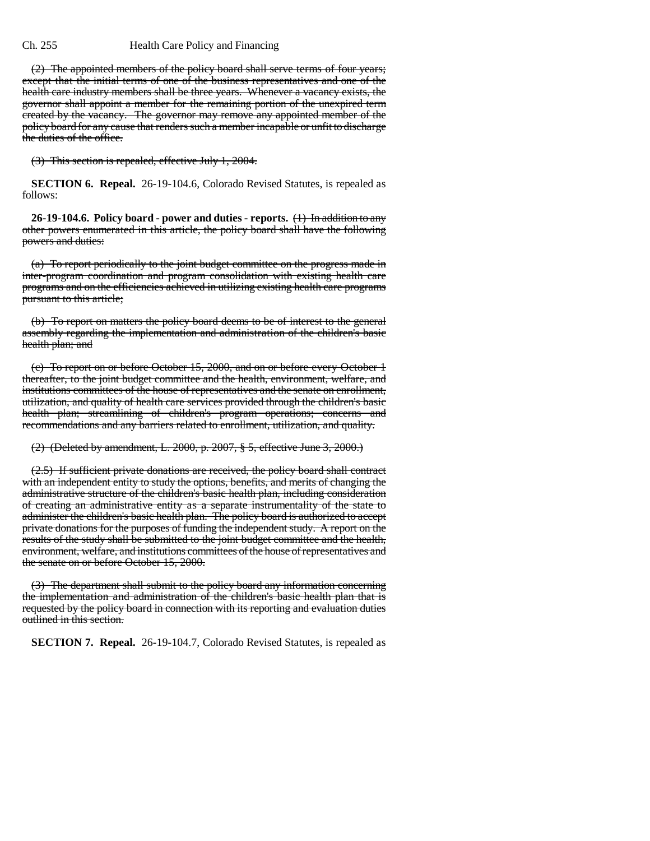## Ch. 255 Health Care Policy and Financing

(2) The appointed members of the policy board shall serve terms of four years; except that the initial terms of one of the business representatives and one of the health care industry members shall be three years. Whenever a vacancy exists, the governor shall appoint a member for the remaining portion of the unexpired term created by the vacancy. The governor may remove any appointed member of the policy board for any cause that renders such a member incapable or unfit to discharge the duties of the office.

(3) This section is repealed, effective July 1, 2004.

**SECTION 6. Repeal.** 26-19-104.6, Colorado Revised Statutes, is repealed as follows:

**26-19-104.6. Policy board - power and duties - reports.** (1) In addition to any other powers enumerated in this article, the policy board shall have the following powers and duties:

(a) To report periodically to the joint budget committee on the progress made in inter-program coordination and program consolidation with existing health care programs and on the efficiencies achieved in utilizing existing health care programs pursuant to this article;

(b) To report on matters the policy board deems to be of interest to the general assembly regarding the implementation and administration of the children's basic health plan; and

(c) To report on or before October 15, 2000, and on or before every October 1 thereafter, to the joint budget committee and the health, environment, welfare, and institutions committees of the house of representatives and the senate on enrollment, utilization, and quality of health care services provided through the children's basic health plan; streamlining of children's program operations; concerns and recommendations and any barriers related to enrollment, utilization, and quality.

(2) (Deleted by amendment, L. 2000, p. 2007, § 5, effective June 3, 2000.)

(2.5) If sufficient private donations are received, the policy board shall contract with an independent entity to study the options, benefits, and merits of changing the administrative structure of the children's basic health plan, including consideration of creating an administrative entity as a separate instrumentality of the state to administer the children's basic health plan. The policy board is authorized to accept private donations for the purposes of funding the independent study. A report on the results of the study shall be submitted to the joint budget committee and the health, environment, welfare, and institutions committees of the house of representatives and the senate on or before October 15, 2000.

(3) The department shall submit to the policy board any information concerning the implementation and administration of the children's basic health plan that is requested by the policy board in connection with its reporting and evaluation duties outlined in this section.

**SECTION 7. Repeal.** 26-19-104.7, Colorado Revised Statutes, is repealed as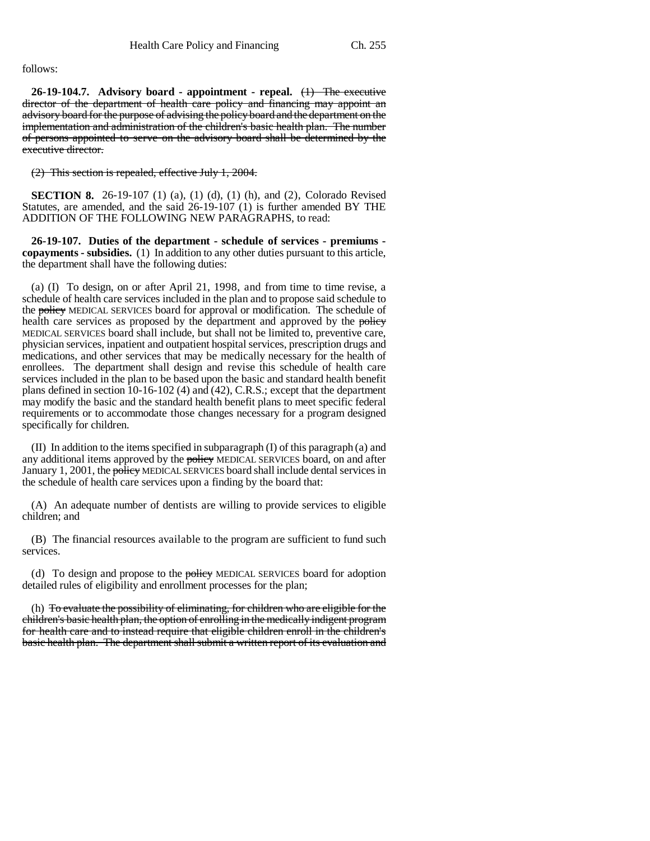follows:

**26-19-104.7. Advisory board - appointment - repeal.** (1) The executive director of the department of health care policy and financing may appoint an advisory board for the purpose of advising the policy board and the department on the implementation and administration of the children's basic health plan. The number of persons appointed to serve on the advisory board shall be determined by the executive director.

(2) This section is repealed, effective July 1, 2004.

**SECTION 8.** 26-19-107 (1) (a), (1) (d), (1) (h), and (2), Colorado Revised Statutes, are amended, and the said 26-19-107 (1) is further amended BY THE ADDITION OF THE FOLLOWING NEW PARAGRAPHS, to read:

**26-19-107. Duties of the department - schedule of services - premiums copayments - subsidies.** (1) In addition to any other duties pursuant to this article, the department shall have the following duties:

(a) (I) To design, on or after April 21, 1998, and from time to time revise, a schedule of health care services included in the plan and to propose said schedule to the policy MEDICAL SERVICES board for approval or modification. The schedule of health care services as proposed by the department and approved by the policy MEDICAL SERVICES board shall include, but shall not be limited to, preventive care, physician services, inpatient and outpatient hospital services, prescription drugs and medications, and other services that may be medically necessary for the health of enrollees. The department shall design and revise this schedule of health care services included in the plan to be based upon the basic and standard health benefit plans defined in section 10-16-102 (4) and (42), C.R.S.; except that the department may modify the basic and the standard health benefit plans to meet specific federal requirements or to accommodate those changes necessary for a program designed specifically for children.

(II) In addition to the items specified in subparagraph (I) of this paragraph (a) and any additional items approved by the policy MEDICAL SERVICES board, on and after January 1, 2001, the policy MEDICAL SERVICES board shall include dental services in the schedule of health care services upon a finding by the board that:

(A) An adequate number of dentists are willing to provide services to eligible children; and

(B) The financial resources available to the program are sufficient to fund such services.

(d) To design and propose to the **policy** MEDICAL SERVICES board for adoption detailed rules of eligibility and enrollment processes for the plan;

(h) To evaluate the possibility of eliminating, for children who are eligible for the children's basic health plan, the option of enrolling in the medically indigent program for health care and to instead require that eligible children enroll in the children's basic health plan. The department shall submit a written report of its evaluation and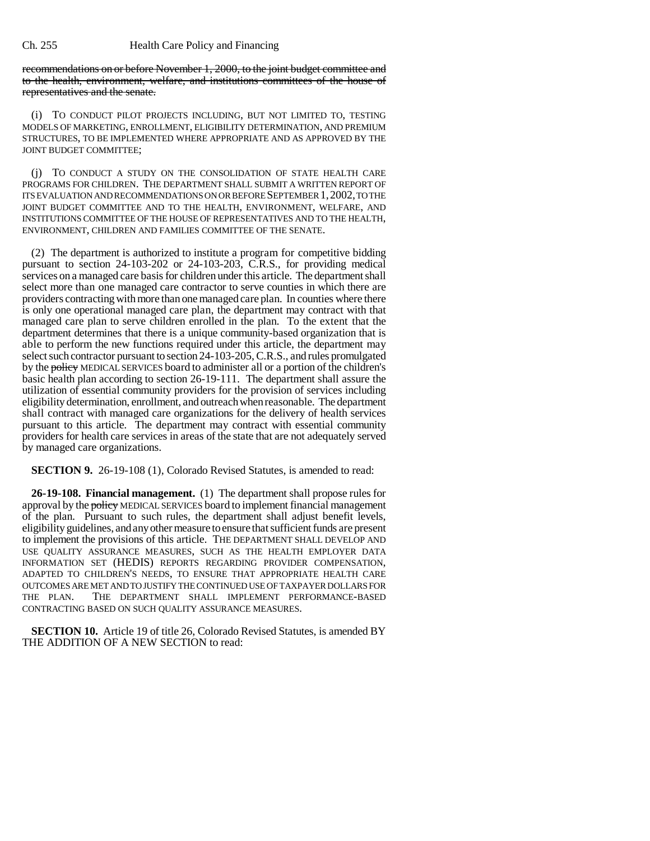recommendations on or before November 1, 2000, to the joint budget committee and to the health, environment, welfare, and institutions committees of the house of representatives and the senate.

(i) TO CONDUCT PILOT PROJECTS INCLUDING, BUT NOT LIMITED TO, TESTING MODELS OF MARKETING, ENROLLMENT, ELIGIBILITY DETERMINATION, AND PREMIUM STRUCTURES, TO BE IMPLEMENTED WHERE APPROPRIATE AND AS APPROVED BY THE JOINT BUDGET COMMITTEE;

(j) TO CONDUCT A STUDY ON THE CONSOLIDATION OF STATE HEALTH CARE PROGRAMS FOR CHILDREN. THE DEPARTMENT SHALL SUBMIT A WRITTEN REPORT OF ITS EVALUATION AND RECOMMENDATIONS ON OR BEFORE SEPTEMBER 1,2002, TO THE JOINT BUDGET COMMITTEE AND TO THE HEALTH, ENVIRONMENT, WELFARE, AND INSTITUTIONS COMMITTEE OF THE HOUSE OF REPRESENTATIVES AND TO THE HEALTH, ENVIRONMENT, CHILDREN AND FAMILIES COMMITTEE OF THE SENATE.

(2) The department is authorized to institute a program for competitive bidding pursuant to section 24-103-202 or 24-103-203, C.R.S., for providing medical services on a managed care basis for children under this article. The department shall select more than one managed care contractor to serve counties in which there are providers contracting with more than one managed care plan. In counties where there is only one operational managed care plan, the department may contract with that managed care plan to serve children enrolled in the plan. To the extent that the department determines that there is a unique community-based organization that is able to perform the new functions required under this article, the department may select such contractor pursuant to section 24-103-205, C.R.S., and rules promulgated by the policy MEDICAL SERVICES board to administer all or a portion of the children's basic health plan according to section 26-19-111. The department shall assure the utilization of essential community providers for the provision of services including eligibility determination, enrollment, and outreach when reasonable. The department shall contract with managed care organizations for the delivery of health services pursuant to this article. The department may contract with essential community providers for health care services in areas of the state that are not adequately served by managed care organizations.

**SECTION 9.** 26-19-108 (1), Colorado Revised Statutes, is amended to read:

**26-19-108. Financial management.** (1) The department shall propose rules for approval by the policy MEDICAL SERVICES board to implement financial management of the plan. Pursuant to such rules, the department shall adjust benefit levels, eligibility guidelines, and any other measure to ensure that sufficient funds are present to implement the provisions of this article. THE DEPARTMENT SHALL DEVELOP AND USE QUALITY ASSURANCE MEASURES, SUCH AS THE HEALTH EMPLOYER DATA INFORMATION SET (HEDIS) REPORTS REGARDING PROVIDER COMPENSATION, ADAPTED TO CHILDREN'S NEEDS, TO ENSURE THAT APPROPRIATE HEALTH CARE OUTCOMES ARE MET AND TO JUSTIFY THE CONTINUED USE OF TAXPAYER DOLLARS FOR THE PLAN. THE DEPARTMENT SHALL IMPLEMENT PERFORMANCE-BASED CONTRACTING BASED ON SUCH QUALITY ASSURANCE MEASURES.

**SECTION 10.** Article 19 of title 26, Colorado Revised Statutes, is amended BY THE ADDITION OF A NEW SECTION to read: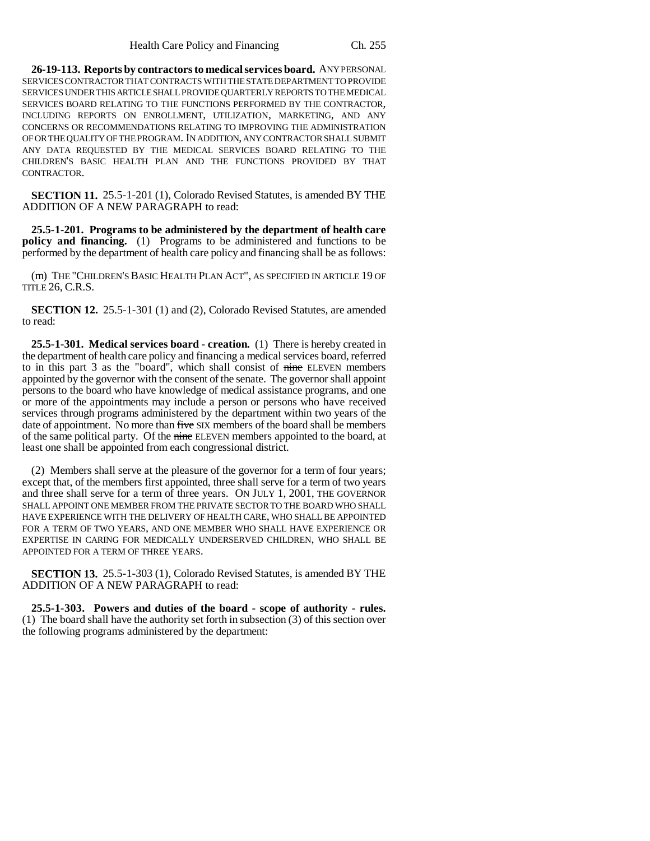**26-19-113. Reports by contractors to medical services board.** ANY PERSONAL SERVICES CONTRACTOR THAT CONTRACTS WITH THE STATE DEPARTMENT TO PROVIDE SERVICES UNDER THIS ARTICLE SHALL PROVIDE QUARTERLY REPORTS TO THE MEDICAL SERVICES BOARD RELATING TO THE FUNCTIONS PERFORMED BY THE CONTRACTOR, INCLUDING REPORTS ON ENROLLMENT, UTILIZATION, MARKETING, AND ANY CONCERNS OR RECOMMENDATIONS RELATING TO IMPROVING THE ADMINISTRATION OF OR THE QUALITY OF THE PROGRAM. IN ADDITION, ANY CONTRACTOR SHALL SUBMIT ANY DATA REQUESTED BY THE MEDICAL SERVICES BOARD RELATING TO THE CHILDREN'S BASIC HEALTH PLAN AND THE FUNCTIONS PROVIDED BY THAT CONTRACTOR.

**SECTION 11.** 25.5-1-201 (1), Colorado Revised Statutes, is amended BY THE ADDITION OF A NEW PARAGRAPH to read:

**25.5-1-201. Programs to be administered by the department of health care policy and financing.** (1) Programs to be administered and functions to be performed by the department of health care policy and financing shall be as follows:

(m) THE "CHILDREN'S BASIC HEALTH PLAN ACT", AS SPECIFIED IN ARTICLE 19 OF TITLE 26, C.R.S.

**SECTION 12.** 25.5-1-301 (1) and (2), Colorado Revised Statutes, are amended to read:

**25.5-1-301. Medical services board - creation.** (1) There is hereby created in the department of health care policy and financing a medical services board, referred to in this part 3 as the "board", which shall consist of nine ELEVEN members appointed by the governor with the consent of the senate. The governor shall appoint persons to the board who have knowledge of medical assistance programs, and one or more of the appointments may include a person or persons who have received services through programs administered by the department within two years of the date of appointment. No more than five SIX members of the board shall be members of the same political party. Of the nine ELEVEN members appointed to the board, at least one shall be appointed from each congressional district.

(2) Members shall serve at the pleasure of the governor for a term of four years; except that, of the members first appointed, three shall serve for a term of two years and three shall serve for a term of three years. ON JULY 1, 2001, THE GOVERNOR SHALL APPOINT ONE MEMBER FROM THE PRIVATE SECTOR TO THE BOARD WHO SHALL HAVE EXPERIENCE WITH THE DELIVERY OF HEALTH CARE, WHO SHALL BE APPOINTED FOR A TERM OF TWO YEARS, AND ONE MEMBER WHO SHALL HAVE EXPERIENCE OR EXPERTISE IN CARING FOR MEDICALLY UNDERSERVED CHILDREN, WHO SHALL BE APPOINTED FOR A TERM OF THREE YEARS.

**SECTION 13.** 25.5-1-303 (1), Colorado Revised Statutes, is amended BY THE ADDITION OF A NEW PARAGRAPH to read:

**25.5-1-303. Powers and duties of the board - scope of authority - rules.** (1) The board shall have the authority set forth in subsection (3) of this section over the following programs administered by the department: